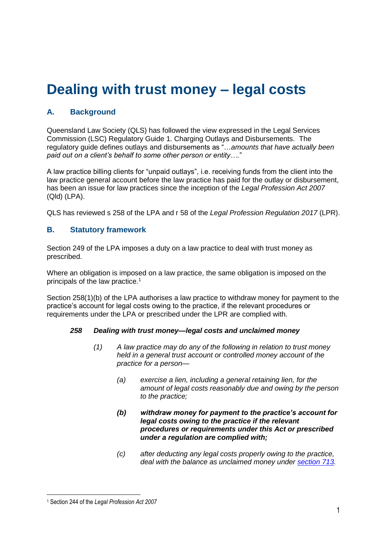# **Dealing with trust money – legal costs**

# **A. Background**

Queensland Law Society (QLS) has followed the view expressed in the Legal Services Commission (LSC) Regulatory Guide 1. Charging Outlays and Disbursements. The regulatory guide defines outlays and disbursements as "…*amounts that have actually been paid out on a client's behalf to some other person or entity….*"

A law practice billing clients for "unpaid outlays", i.e. receiving funds from the client into the law practice general account before the law practice has paid for the outlay or disbursement, has been an issue for law practices since the inception of the *Legal Profession Act 2007* (Qld) (LPA).

QLS has reviewed s 258 of the LPA and r 58 of the *Legal Profession Regulation 2017* (LPR).

## **B. Statutory framework**

Section 249 of the LPA imposes a duty on a law practice to deal with trust money as prescribed.

Where an obligation is imposed on a law practice, the same obligation is imposed on the principals of the law practice.<sup>1</sup>

Section 258(1)(b) of the LPA authorises a law practice to withdraw money for payment to the practice's account for legal costs owing to the practice, if the relevant procedures or requirements under the LPA or prescribed under the LPR are complied with.

#### *258 Dealing with trust money—legal costs and unclaimed money*

- *(1) A law practice may do any of the following in relation to trust money held in a general trust account or controlled money account of the practice for a person—*
	- *(a) exercise a lien, including a general retaining lien, for the amount of legal costs reasonably due and owing by the person to the practice;*
	- *(b) withdraw money for payment to the practice's account for legal costs owing to the practice if the relevant procedures or requirements under this Act or prescribed under a regulation are complied with;*
	- *(c) after deducting any legal costs properly owing to the practice, deal with the balance as unclaimed money under [section](https://www.legislation.qld.gov.au/view/html/inforce/current/act-2007-024#sec.713) 713.*

<sup>&</sup>lt;u>.</u> <sup>1</sup> Section 244 of the *Legal Profession Act 2007*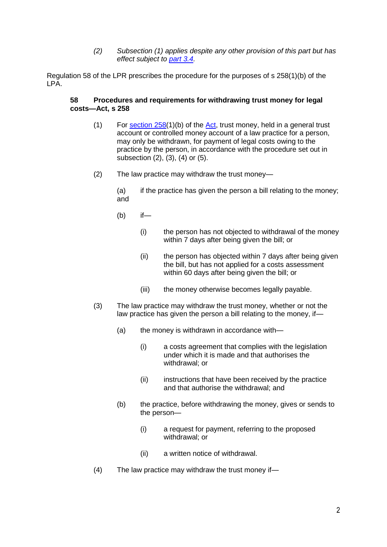*(2) Subsection (1) applies despite any other provision of this part but has effect subject to [part](https://www.legislation.qld.gov.au/view/html/inforce/current/act-2007-024#ch.3-pt.3.4) 3.4.*

Regulation 58 of the LPR prescribes the procedure for the purposes of s 258(1)(b) of the LPA.

#### **58 Procedures and requirements for withdrawing trust money for legal costs[—Act,](https://www.legislation.qld.gov.au/link?version.series.id=164fc9cf-e977-4597-b06d-cc4d9c090a38&doc.id=act-2007-024&date=2022-01-28&type=act) s [258](https://www.legislation.qld.gov.au/link?guid=_99db3eee-e44a-4f6c-ab80-c7c8440aeaaf&id=sec.258&version.series.id=164fc9cf-e977-4597-b06d-cc4d9c090a38&doc.id=act-2007-024&date=2022-01-28&type=act)**

- (1) For [section](https://www.legislation.qld.gov.au/link?guid=_99db3eee-e44a-4f6c-ab80-c7c8440aeaaf&id=sec.258&version.series.id=164fc9cf-e977-4597-b06d-cc4d9c090a38&doc.id=act-2007-024&date=2022-01-28&type=act)  $258(1)(b)$  of the [Act,](https://www.legislation.qld.gov.au/link?version.series.id=164fc9cf-e977-4597-b06d-cc4d9c090a38&doc.id=act-2007-024&date=2022-01-28&type=act) trust money, held in a general trust account or controlled money account of a law practice for a person, may only be withdrawn, for payment of legal costs owing to the practice by the person, in accordance with the procedure set out in subsection (2), (3), (4) or (5).
- (2) The law practice may withdraw the trust money—

(a) if the practice has given the person a bill relating to the money; and

- (b) if—
	- (i) the person has not objected to withdrawal of the money within 7 days after being given the bill; or
	- (ii) the person has objected within 7 days after being given the bill, but has not applied for a costs assessment within 60 days after being given the bill; or
	- (iii) the money otherwise becomes legally payable.
- (3) The law practice may withdraw the trust money, whether or not the law practice has given the person a bill relating to the money, if—
	- (a) the money is withdrawn in accordance with—
		- (i) a costs agreement that complies with the legislation under which it is made and that authorises the withdrawal; or
		- (ii) instructions that have been received by the practice and that authorise the withdrawal; and
	- (b) the practice, before withdrawing the money, gives or sends to the person—
		- (i) a request for payment, referring to the proposed withdrawal; or
		- (ii) a written notice of withdrawal.
- (4) The law practice may withdraw the trust money if—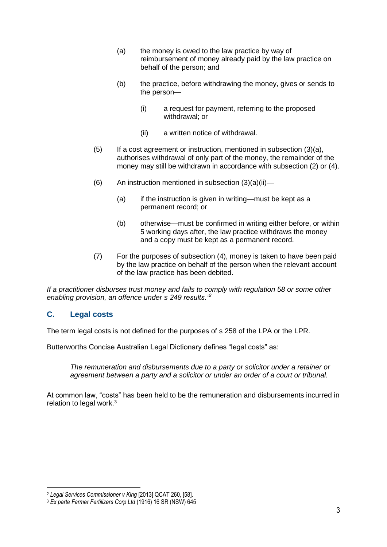- (a) the money is owed to the law practice by way of reimbursement of money already paid by the law practice on behalf of the person; and
- (b) the practice, before withdrawing the money, gives or sends to the person—
	- (i) a request for payment, referring to the proposed withdrawal; or
	- (ii) a written notice of withdrawal.
- (5) If a cost agreement or instruction, mentioned in subsection (3)(a), authorises withdrawal of only part of the money, the remainder of the money may still be withdrawn in accordance with subsection (2) or (4).
- (6) An instruction mentioned in subsection  $(3)(a)(ii)$ 
	- (a) if the instruction is given in writing—must be kept as a permanent record; or
	- (b) otherwise—must be confirmed in writing either before, or within 5 working days after, the law practice withdraws the money and a copy must be kept as a permanent record.
- (7) For the purposes of subsection (4), money is taken to have been paid by the law practice on behalf of the person when the relevant account of the law practice has been debited.

*If a practitioner disburses trust money and fails to comply with regulation 58 or some other enabling provision, an offence under s 249 results."<sup>2</sup>*

## **C. Legal costs**

1

The term legal costs is not defined for the purposes of s 258 of the LPA or the LPR.

Butterworths Concise Australian Legal Dictionary defines "legal costs" as:

*The remuneration and disbursements due to a party or solicitor under a retainer or agreement between a party and a solicitor or under an order of a court or tribunal.*

At common law, "costs" has been held to be the remuneration and disbursements incurred in relation to legal work.<sup>3</sup>

<sup>2</sup> *Legal Services Commissioner v King* [2013] QCAT 260, [58].

<sup>3</sup> *Ex parte Farmer Fertilizers Corp Ltd* (1916) 16 SR (NSW) 645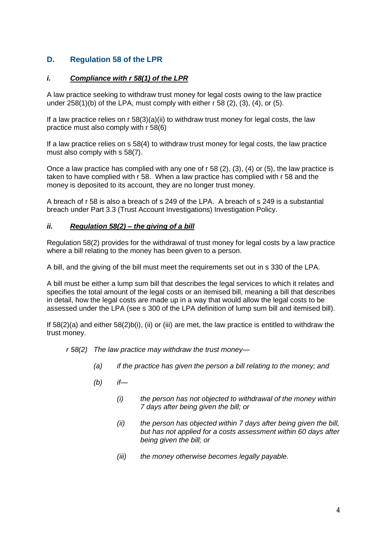# **D. Regulation 58 of the LPR**

## *i. Compliance with r 58(1) of the LPR*

A law practice seeking to withdraw trust money for legal costs owing to the law practice under 258(1)(b) of the LPA, must comply with either r 58 (2), (3), (4), or (5).

If a law practice relies on  $r$  58(3)(a)(ii) to withdraw trust money for legal costs, the law practice must also comply with r 58(6)

If a law practice relies on s 58(4) to withdraw trust money for legal costs, the law practice must also comply with s 58(7).

Once a law practice has complied with any one of r 58 (2), (3), (4) or (5), the law practice is taken to have complied with r 58. When a law practice has complied with r 58 and the money is deposited to its account, they are no longer trust money.

A breach of r 58 is also a breach of s 249 of the LPA. A breach of s 249 is a substantial breach under Part 3.3 (Trust Account Investigations) Investigation Policy.

### *ii. Regulation 58(2) – the giving of a bill*

Regulation 58(2) provides for the withdrawal of trust money for legal costs by a law practice where a bill relating to the money has been given to a person.

A bill, and the giving of the bill must meet the requirements set out in s 330 of the LPA.

A bill must be either a lump sum bill that describes the legal services to which it relates and specifies the total amount of the legal costs or an itemised bill, meaning a bill that describes in detail, how the legal costs are made up in a way that would allow the legal costs to be assessed under the LPA (see s 300 of the LPA definition of lump sum bill and itemised bill).

If  $58(2)(a)$  and either  $58(2)b(i)$ , (ii) or (iii) are met, the law practice is entitled to withdraw the trust money.

*r 58(2) The law practice may withdraw the trust money—*

- *(a) if the practice has given the person a bill relating to the money; and*
- *(b) if—*
	- *(i) the person has not objected to withdrawal of the money within 7 days after being given the bill; or*
	- *(ii) the person has objected within 7 days after being given the bill, but has not applied for a costs assessment within 60 days after being given the bill; or*
	- *(iii) the money otherwise becomes legally payable.*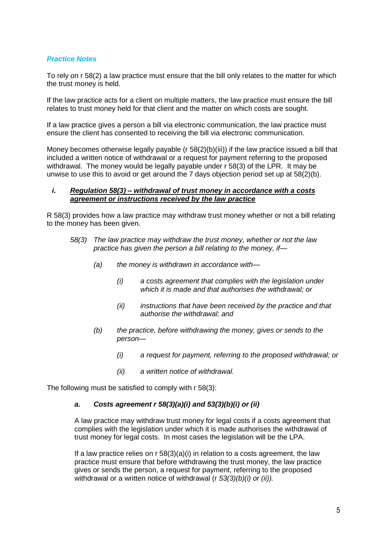#### *Practice Notes*

To rely on r 58(2) a law practice must ensure that the bill only relates to the matter for which the trust money is held.

If the law practice acts for a client on multiple matters, the law practice must ensure the bill relates to trust money held for that client and the matter on which costs are sought.

If a law practice gives a person a bill via electronic communication, the law practice must ensure the client has consented to receiving the bill via electronic communication.

Money becomes otherwise legally payable ( $r$  58(2)(b)(iii)) if the law practice issued a bill that included a written notice of withdrawal or a request for payment referring to the proposed withdrawal. The money would be legally payable under r 58(3) of the LPR. It may be unwise to use this to avoid or get around the 7 days objection period set up at 58(2)(b).

#### *i. Regulation 58(3) – withdrawal of trust money in accordance with a costs agreement or instructions received by the law practice*

R 58(3) provides how a law practice may withdraw trust money whether or not a bill relating to the money has been given.

- *58(3) The law practice may withdraw the trust money, whether or not the law practice has given the person a bill relating to the money, if—*
	- *(a) the money is withdrawn in accordance with—*
		- *(i) a costs agreement that complies with the legislation under which it is made and that authorises the withdrawal; or*
		- *(ii) instructions that have been received by the practice and that authorise the withdrawal; and*
	- *(b) the practice, before withdrawing the money, gives or sends to the person—*
		- *(i) a request for payment, referring to the proposed withdrawal; or*
		- *(ii) a written notice of withdrawal.*

The following must be satisfied to comply with r 58(3):

#### *a. Costs agreement r 58(3)(a)(i) and 53(3)(b)(i) or (ii)*

A law practice may withdraw trust money for legal costs if a costs agreement that complies with the legislation under which it is made authorises the withdrawal of trust money for legal costs. In most cases the legislation will be the LPA.

If a law practice relies on  $r$  58(3)(a)(i) in relation to a costs agreement, the law practice must ensure that before withdrawing the trust money, the law practice gives or sends the person, a request for payment, referring to the proposed withdrawal or a written notice of withdrawal (r *53(3)(b)(i) or (ii)).*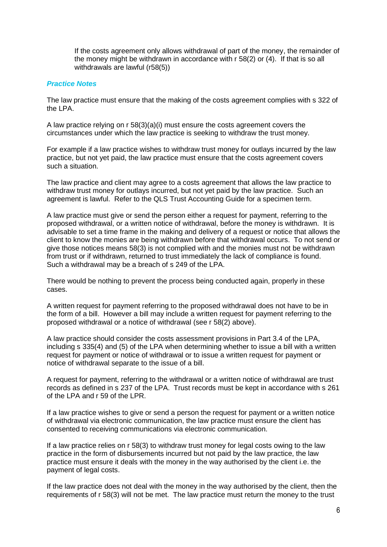If the costs agreement only allows withdrawal of part of the money, the remainder of the money might be withdrawn in accordance with r 58(2) or (4). If that is so all withdrawals are lawful (r58(5))

#### *Practice Notes*

The law practice must ensure that the making of the costs agreement complies with s 322 of the LPA.

A law practice relying on r 58(3)(a)(i) must ensure the costs agreement covers the circumstances under which the law practice is seeking to withdraw the trust money.

For example if a law practice wishes to withdraw trust money for outlays incurred by the law practice, but not yet paid, the law practice must ensure that the costs agreement covers such a situation.

The law practice and client may agree to a costs agreement that allows the law practice to withdraw trust money for outlays incurred, but not yet paid by the law practice. Such an agreement is lawful. Refer to the QLS Trust Accounting Guide for a specimen term.

A law practice must give or send the person either a request for payment, referring to the proposed withdrawal, or a written notice of withdrawal, before the money is withdrawn. It is advisable to set a time frame in the making and delivery of a request or notice that allows the client to know the monies are being withdrawn before that withdrawal occurs. To not send or give those notices means 58(3) is not complied with and the monies must not be withdrawn from trust or if withdrawn, returned to trust immediately the lack of compliance is found. Such a withdrawal may be a breach of s 249 of the LPA.

There would be nothing to prevent the process being conducted again, properly in these cases.

A written request for payment referring to the proposed withdrawal does not have to be in the form of a bill. However a bill may include a written request for payment referring to the proposed withdrawal or a notice of withdrawal (see r 58(2) above).

A law practice should consider the costs assessment provisions in Part 3.4 of the LPA, including s 335(4) and (5) of the LPA when determining whether to issue a bill with a written request for payment or notice of withdrawal or to issue a written request for payment or notice of withdrawal separate to the issue of a bill.

A request for payment, referring to the withdrawal or a written notice of withdrawal are trust records as defined in s 237 of the LPA. Trust records must be kept in accordance with s 261 of the LPA and r 59 of the LPR.

If a law practice wishes to give or send a person the request for payment or a written notice of withdrawal via electronic communication, the law practice must ensure the client has consented to receiving communications via electronic communication.

If a law practice relies on r 58(3) to withdraw trust money for legal costs owing to the law practice in the form of disbursements incurred but not paid by the law practice, the law practice must ensure it deals with the money in the way authorised by the client i.e. the payment of legal costs.

If the law practice does not deal with the money in the way authorised by the client, then the requirements of r 58(3) will not be met. The law practice must return the money to the trust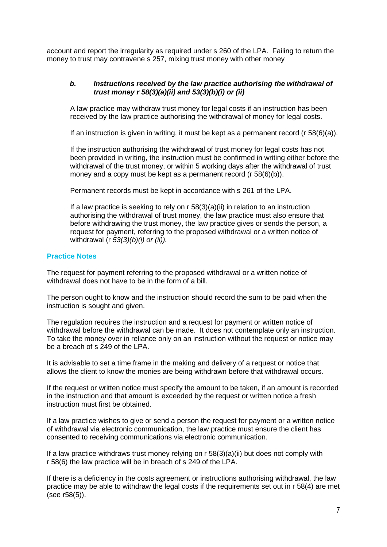account and report the irregularity as required under s 260 of the LPA. Failing to return the money to trust may contravene s 257, mixing trust money with other money

#### *b. Instructions received by the law practice authorising the withdrawal of trust money r 58(3)(a)(ii) and 53(3)(b)(i) or (ii)*

A law practice may withdraw trust money for legal costs if an instruction has been received by the law practice authorising the withdrawal of money for legal costs.

If an instruction is given in writing, it must be kept as a permanent record (r 58(6)(a)).

If the instruction authorising the withdrawal of trust money for legal costs has not been provided in writing, the instruction must be confirmed in writing either before the withdrawal of the trust money, or within 5 working days after the withdrawal of trust money and a copy must be kept as a permanent record (r 58(6)(b)).

Permanent records must be kept in accordance with s 261 of the LPA.

If a law practice is seeking to rely on  $r$  58(3)(a)(ii) in relation to an instruction authorising the withdrawal of trust money, the law practice must also ensure that before withdrawing the trust money, the law practice gives or sends the person, a request for payment, referring to the proposed withdrawal or a written notice of withdrawal (r *53(3)(b)(i) or (ii)).*

### **Practice Notes**

The request for payment referring to the proposed withdrawal or a written notice of withdrawal does not have to be in the form of a bill.

The person ought to know and the instruction should record the sum to be paid when the instruction is sought and given.

The regulation requires the instruction and a request for payment or written notice of withdrawal before the withdrawal can be made. It does not contemplate only an instruction. To take the money over in reliance only on an instruction without the request or notice may be a breach of s 249 of the LPA.

It is advisable to set a time frame in the making and delivery of a request or notice that allows the client to know the monies are being withdrawn before that withdrawal occurs.

If the request or written notice must specify the amount to be taken, if an amount is recorded in the instruction and that amount is exceeded by the request or written notice a fresh instruction must first be obtained.

If a law practice wishes to give or send a person the request for payment or a written notice of withdrawal via electronic communication, the law practice must ensure the client has consented to receiving communications via electronic communication.

If a law practice withdraws trust money relying on r 58(3)(a)(ii) but does not comply with r 58(6) the law practice will be in breach of s 249 of the LPA.

If there is a deficiency in the costs agreement or instructions authorising withdrawal, the law practice may be able to withdraw the legal costs if the requirements set out in r 58(4) are met (see r58(5)).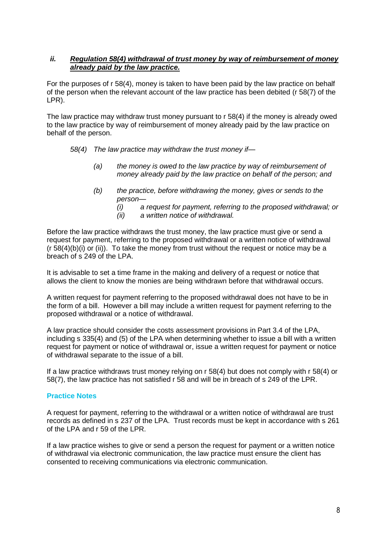#### *ii. Regulation 58(4) withdrawal of trust money by way of reimbursement of money already paid by the law practice.*

For the purposes of r 58(4), money is taken to have been paid by the law practice on behalf of the person when the relevant account of the law practice has been debited (r 58(7) of the LPR).

The law practice may withdraw trust money pursuant to r 58(4) if the money is already owed to the law practice by way of reimbursement of money already paid by the law practice on behalf of the person.

- *58(4) The law practice may withdraw the trust money if—*
	- *(a) the money is owed to the law practice by way of reimbursement of money already paid by the law practice on behalf of the person; and*
	- *(b) the practice, before withdrawing the money, gives or sends to the person—*
		- *(i) a request for payment, referring to the proposed withdrawal; or*
		- *(ii) a written notice of withdrawal.*

Before the law practice withdraws the trust money, the law practice must give or send a request for payment, referring to the proposed withdrawal or a written notice of withdrawal  $(r 58(4)(b)(i)$  or  $(ii)$ ). To take the money from trust without the request or notice may be a breach of s 249 of the LPA.

It is advisable to set a time frame in the making and delivery of a request or notice that allows the client to know the monies are being withdrawn before that withdrawal occurs.

A written request for payment referring to the proposed withdrawal does not have to be in the form of a bill. However a bill may include a written request for payment referring to the proposed withdrawal or a notice of withdrawal.

A law practice should consider the costs assessment provisions in Part 3.4 of the LPA, including s 335(4) and (5) of the LPA when determining whether to issue a bill with a written request for payment or notice of withdrawal or, issue a written request for payment or notice of withdrawal separate to the issue of a bill.

If a law practice withdraws trust money relying on r 58(4) but does not comply with r 58(4) or 58(7), the law practice has not satisfied r 58 and will be in breach of s 249 of the LPR.

#### **Practice Notes**

A request for payment, referring to the withdrawal or a written notice of withdrawal are trust records as defined in s 237 of the LPA. Trust records must be kept in accordance with s 261 of the LPA and r 59 of the LPR.

If a law practice wishes to give or send a person the request for payment or a written notice of withdrawal via electronic communication, the law practice must ensure the client has consented to receiving communications via electronic communication.